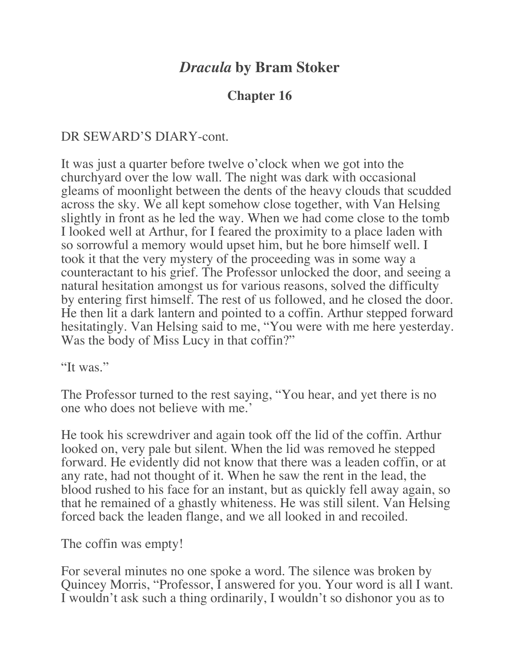## *Dracula* **by Bram Stoker**

## **Chapter 16**

## DR SEWARD'S DIARY-cont.

It was just a quarter before twelve o'clock when we got into the churchyard over the low wall. The night was dark with occasional gleams of moonlight between the dents of the heavy clouds that scudded across the sky. We all kept somehow close together, with Van Helsing slightly in front as he led the way. When we had come close to the tomb I looked well at Arthur, for I feared the proximity to a place laden with so sorrowful a memory would upset him, but he bore himself well. I took it that the very mystery of the proceeding was in some way a counteractant to his grief. The Professor unlocked the door, and seeing a natural hesitation amongst us for various reasons, solved the difficulty by entering first himself. The rest of us followed, and he closed the door. He then lit a dark lantern and pointed to a coffin. Arthur stepped forward hesitatingly. Van Helsing said to me, "You were with me here yesterday. Was the body of Miss Lucy in that coffin?"

"It was."

The Professor turned to the rest saying, "You hear, and yet there is no one who does not believe with me.'

He took his screwdriver and again took off the lid of the coffin. Arthur looked on, very pale but silent. When the lid was removed he stepped forward. He evidently did not know that there was a leaden coffin, or at any rate, had not thought of it. When he saw the rent in the lead, the blood rushed to his face for an instant, but as quickly fell away again, so that he remained of a ghastly whiteness. He was still silent. Van Helsing forced back the leaden flange, and we all looked in and recoiled.

The coffin was empty!

For several minutes no one spoke a word. The silence was broken by Quincey Morris, "Professor, I answered for you. Your word is all I want. I wouldn't ask such a thing ordinarily, I wouldn't so dishonor you as to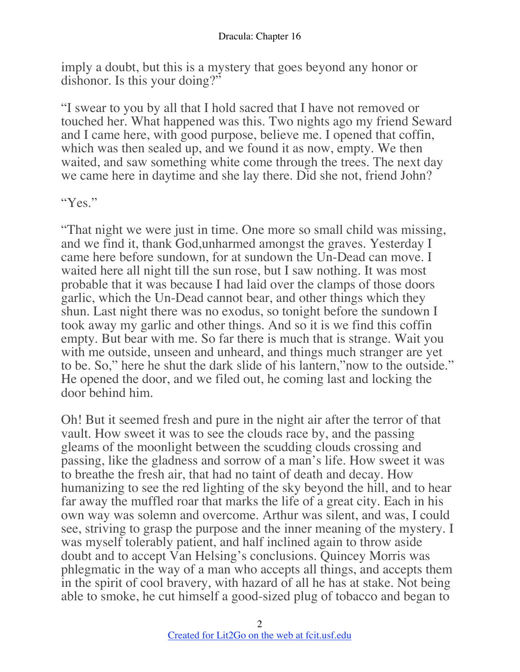imply a doubt, but this is a mystery that goes beyond any honor or dishonor. Is this your doing?"

"I swear to you by all that I hold sacred that I have not removed or touched her. What happened was this. Two nights ago my friend Seward and I came here, with good purpose, believe me. I opened that coffin, which was then sealed up, and we found it as now, empty. We then waited, and saw something white come through the trees. The next day we came here in daytime and she lay there. Did she not, friend John?

## "Yes."

"That night we were just in time. One more so small child was missing, and we find it, thank God,unharmed amongst the graves. Yesterday I came here before sundown, for at sundown the Un-Dead can move. I waited here all night till the sun rose, but I saw nothing. It was most probable that it was because I had laid over the clamps of those doors garlic, which the Un-Dead cannot bear, and other things which they shun. Last night there was no exodus, so tonight before the sundown I took away my garlic and other things. And so it is we find this coffin empty. But bear with me. So far there is much that is strange. Wait you with me outside, unseen and unheard, and things much stranger are yet to be. So," here he shut the dark slide of his lantern,"now to the outside." He opened the door, and we filed out, he coming last and locking the door behind him.

Oh! But it seemed fresh and pure in the night air after the terror of that vault. How sweet it was to see the clouds race by, and the passing gleams of the moonlight between the scudding clouds crossing and passing, like the gladness and sorrow of a man's life. How sweet it was to breathe the fresh air, that had no taint of death and decay. How humanizing to see the red lighting of the sky beyond the hill, and to hear far away the muffled roar that marks the life of a great city. Each in his own way was solemn and overcome. Arthur was silent, and was, I could see, striving to grasp the purpose and the inner meaning of the mystery. I was myself tolerably patient, and half inclined again to throw aside doubt and to accept Van Helsing's conclusions. Quincey Morris was phlegmatic in the way of a man who accepts all things, and accepts them in the spirit of cool bravery, with hazard of all he has at stake. Not being able to smoke, he cut himself a good-sized plug of tobacco and began to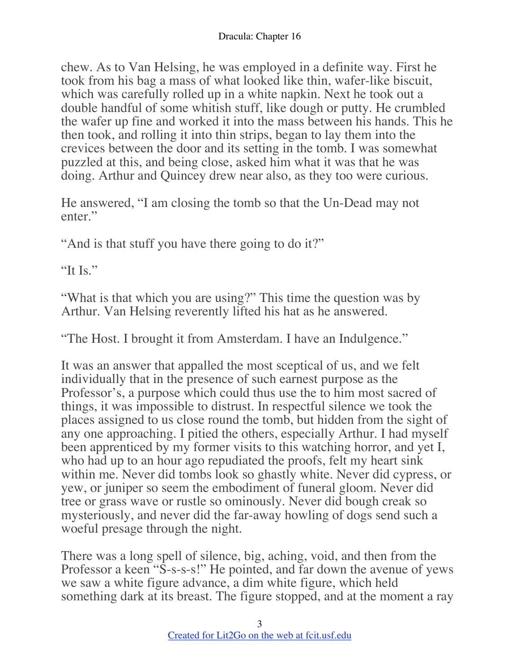chew. As to Van Helsing, he was employed in a definite way. First he took from his bag a mass of what looked like thin, wafer-like biscuit, which was carefully rolled up in a white napkin. Next he took out a double handful of some whitish stuff, like dough or putty. He crumbled the wafer up fine and worked it into the mass between his hands. This he then took, and rolling it into thin strips, began to lay them into the crevices between the door and its setting in the tomb. I was somewhat puzzled at this, and being close, asked him what it was that he was doing. Arthur and Quincey drew near also, as they too were curious.

He answered, "I am closing the tomb so that the Un-Dead may not enter."

"And is that stuff you have there going to do it?"

"It Is."

"What is that which you are using?" This time the question was by Arthur. Van Helsing reverently lifted his hat as he answered.

"The Host. I brought it from Amsterdam. I have an Indulgence."

It was an answer that appalled the most sceptical of us, and we felt individually that in the presence of such earnest purpose as the Professor's, a purpose which could thus use the to him most sacred of things, it was impossible to distrust. In respectful silence we took the places assigned to us close round the tomb, but hidden from the sight of any one approaching. I pitied the others, especially Arthur. I had myself been apprenticed by my former visits to this watching horror, and yet I, who had up to an hour ago repudiated the proofs, felt my heart sink within me. Never did tombs look so ghastly white. Never did cypress, or yew, or juniper so seem the embodiment of funeral gloom. Never did tree or grass wave or rustle so ominously. Never did bough creak so mysteriously, and never did the far-away howling of dogs send such a woeful presage through the night.

There was a long spell of silence, big, aching, void, and then from the Professor a keen "S-s-s-s!" He pointed, and far down the avenue of yews we saw a white figure advance, a dim white figure, which held something dark at its breast. The figure stopped, and at the moment a ray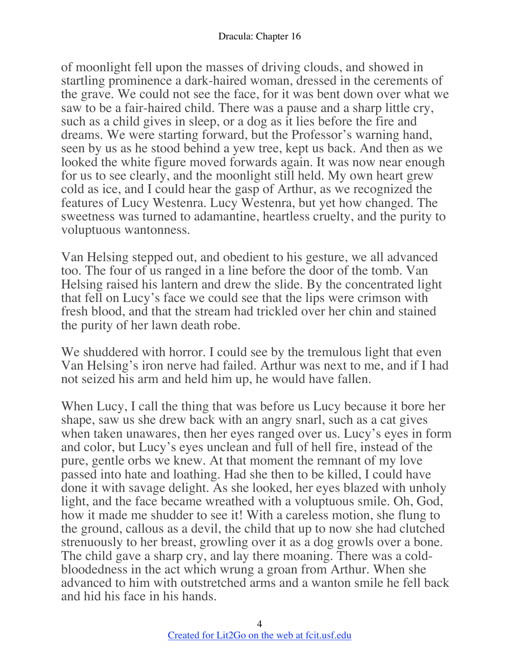of moonlight fell upon the masses of driving clouds, and showed in startling prominence a dark-haired woman, dressed in the cerements of the grave. We could not see the face, for it was bent down over what we saw to be a fair-haired child. There was a pause and a sharp little cry, such as a child gives in sleep, or a dog as it lies before the fire and dreams. We were starting forward, but the Professor's warning hand, seen by us as he stood behind a yew tree, kept us back. And then as we looked the white figure moved forwards again. It was now near enough for us to see clearly, and the moonlight still held. My own heart grew cold as ice, and I could hear the gasp of Arthur, as we recognized the features of Lucy Westenra. Lucy Westenra, but yet how changed. The sweetness was turned to adamantine, heartless cruelty, and the purity to voluptuous wantonness.

Van Helsing stepped out, and obedient to his gesture, we all advanced too. The four of us ranged in a line before the door of the tomb. Van Helsing raised his lantern and drew the slide. By the concentrated light that fell on Lucy's face we could see that the lips were crimson with fresh blood, and that the stream had trickled over her chin and stained the purity of her lawn death robe.

We shuddered with horror. I could see by the tremulous light that even Van Helsing's iron nerve had failed. Arthur was next to me, and if I had not seized his arm and held him up, he would have fallen.

When Lucy, I call the thing that was before us Lucy because it bore her shape, saw us she drew back with an angry snarl, such as a cat gives when taken unawares, then her eyes ranged over us. Lucy's eyes in form and color, but Lucy's eyes unclean and full of hell fire, instead of the pure, gentle orbs we knew. At that moment the remnant of my love passed into hate and loathing. Had she then to be killed, I could have done it with savage delight. As she looked, her eyes blazed with unholy light, and the face became wreathed with a voluptuous smile. Oh, God, how it made me shudder to see it! With a careless motion, she flung to the ground, callous as a devil, the child that up to now she had clutched strenuously to her breast, growling over it as a dog growls over a bone. The child gave a sharp cry, and lay there moaning. There was a coldbloodedness in the act which wrung a groan from Arthur. When she advanced to him with outstretched arms and a wanton smile he fell back and hid his face in his hands.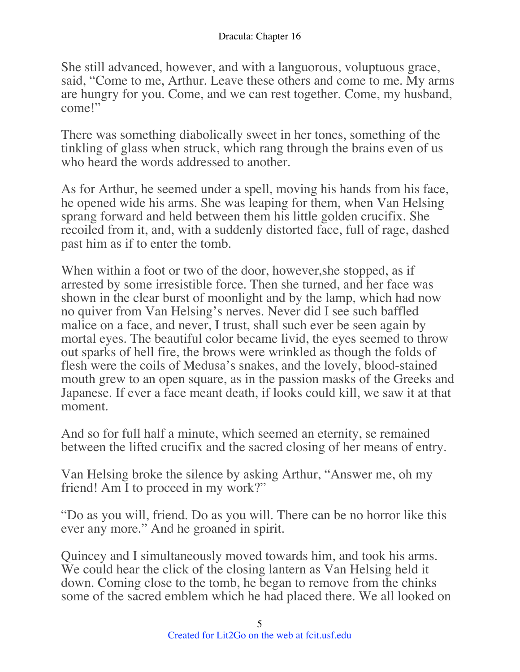She still advanced, however, and with a languorous, voluptuous grace, said, "Come to me, Arthur. Leave these others and come to me. My arms are hungry for you. Come, and we can rest together. Come, my husband, come!"

There was something diabolically sweet in her tones, something of the tinkling of glass when struck, which rang through the brains even of us who heard the words addressed to another.

As for Arthur, he seemed under a spell, moving his hands from his face, he opened wide his arms. She was leaping for them, when Van Helsing sprang forward and held between them his little golden crucifix. She recoiled from it, and, with a suddenly distorted face, full of rage, dashed past him as if to enter the tomb.

When within a foot or two of the door, however,she stopped, as if arrested by some irresistible force. Then she turned, and her face was shown in the clear burst of moonlight and by the lamp, which had now no quiver from Van Helsing's nerves. Never did I see such baffled malice on a face, and never, I trust, shall such ever be seen again by mortal eyes. The beautiful color became livid, the eyes seemed to throw out sparks of hell fire, the brows were wrinkled as though the folds of flesh were the coils of Medusa's snakes, and the lovely, blood-stained mouth grew to an open square, as in the passion masks of the Greeks and Japanese. If ever a face meant death, if looks could kill, we saw it at that moment.

And so for full half a minute, which seemed an eternity, se remained between the lifted crucifix and the sacred closing of her means of entry.

Van Helsing broke the silence by asking Arthur, "Answer me, oh my friend! Am I to proceed in my work?"

"Do as you will, friend. Do as you will. There can be no horror like this ever any more." And he groaned in spirit.

Quincey and I simultaneously moved towards him, and took his arms. We could hear the click of the closing lantern as Van Helsing held it down. Coming close to the tomb, he began to remove from the chinks some of the sacred emblem which he had placed there. We all looked on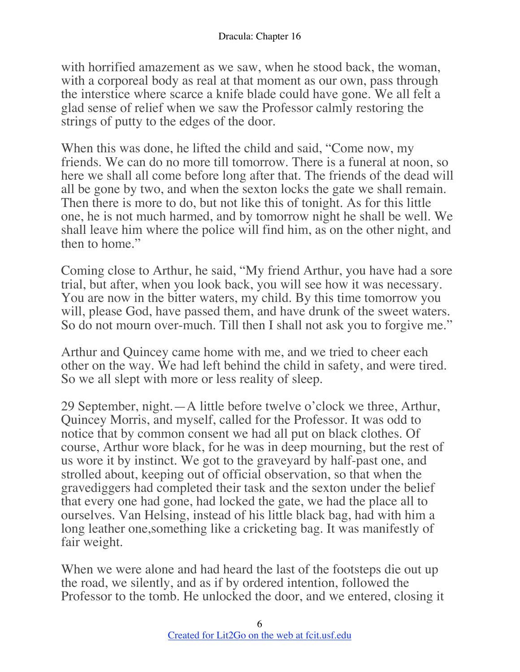with horrified amazement as we saw, when he stood back, the woman, with a corporeal body as real at that moment as our own, pass through the interstice where scarce a knife blade could have gone. We all felt a glad sense of relief when we saw the Professor calmly restoring the strings of putty to the edges of the door.

When this was done, he lifted the child and said, "Come now, my friends. We can do no more till tomorrow. There is a funeral at noon, so here we shall all come before long after that. The friends of the dead will all be gone by two, and when the sexton locks the gate we shall remain. Then there is more to do, but not like this of tonight. As for this little one, he is not much harmed, and by tomorrow night he shall be well. We shall leave him where the police will find him, as on the other night, and then to home."

Coming close to Arthur, he said, "My friend Arthur, you have had a sore trial, but after, when you look back, you will see how it was necessary. You are now in the bitter waters, my child. By this time tomorrow you will, please God, have passed them, and have drunk of the sweet waters. So do not mourn over-much. Till then I shall not ask you to forgive me."

Arthur and Quincey came home with me, and we tried to cheer each other on the way. We had left behind the child in safety, and were tired. So we all slept with more or less reality of sleep.

29 September, night.—A little before twelve o'clock we three, Arthur, Quincey Morris, and myself, called for the Professor. It was odd to notice that by common consent we had all put on black clothes. Of course, Arthur wore black, for he was in deep mourning, but the rest of us wore it by instinct. We got to the graveyard by half-past one, and strolled about, keeping out of official observation, so that when the gravediggers had completed their task and the sexton under the belief that every one had gone, had locked the gate, we had the place all to ourselves. Van Helsing, instead of his little black bag, had with him a long leather one,something like a cricketing bag. It was manifestly of fair weight.

When we were alone and had heard the last of the footsteps die out up the road, we silently, and as if by ordered intention, followed the Professor to the tomb. He unlocked the door, and we entered, closing it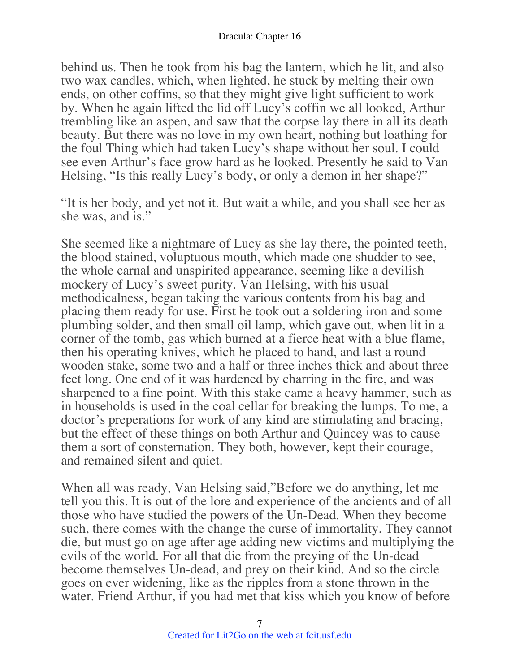behind us. Then he took from his bag the lantern, which he lit, and also two wax candles, which, when lighted, he stuck by melting their own ends, on other coffins, so that they might give light sufficient to work by. When he again lifted the lid off Lucy's coffin we all looked, Arthur trembling like an aspen, and saw that the corpse lay there in all its death beauty. But there was no love in my own heart, nothing but loathing for the foul Thing which had taken Lucy's shape without her soul. I could see even Arthur's face grow hard as he looked. Presently he said to Van Helsing, "Is this really Lucy's body, or only a demon in her shape?"

"It is her body, and yet not it. But wait a while, and you shall see her as she was, and is."

She seemed like a nightmare of Lucy as she lay there, the pointed teeth, the blood stained, voluptuous mouth, which made one shudder to see, the whole carnal and unspirited appearance, seeming like a devilish mockery of Lucy's sweet purity. Van Helsing, with his usual methodicalness, began taking the various contents from his bag and placing them ready for use. First he took out a soldering iron and some plumbing solder, and then small oil lamp, which gave out, when lit in a corner of the tomb, gas which burned at a fierce heat with a blue flame, then his operating knives, which he placed to hand, and last a round wooden stake, some two and a half or three inches thick and about three feet long. One end of it was hardened by charring in the fire, and was sharpened to a fine point. With this stake came a heavy hammer, such as in households is used in the coal cellar for breaking the lumps. To me, a doctor's preperations for work of any kind are stimulating and bracing, but the effect of these things on both Arthur and Quincey was to cause them a sort of consternation. They both, however, kept their courage, and remained silent and quiet.

When all was ready, Van Helsing said,"Before we do anything, let me tell you this. It is out of the lore and experience of the ancients and of all those who have studied the powers of the Un-Dead. When they become such, there comes with the change the curse of immortality. They cannot die, but must go on age after age adding new victims and multiplying the evils of the world. For all that die from the preying of the Un-dead become themselves Un-dead, and prey on their kind. And so the circle goes on ever widening, like as the ripples from a stone thrown in the water. Friend Arthur, if you had met that kiss which you know of before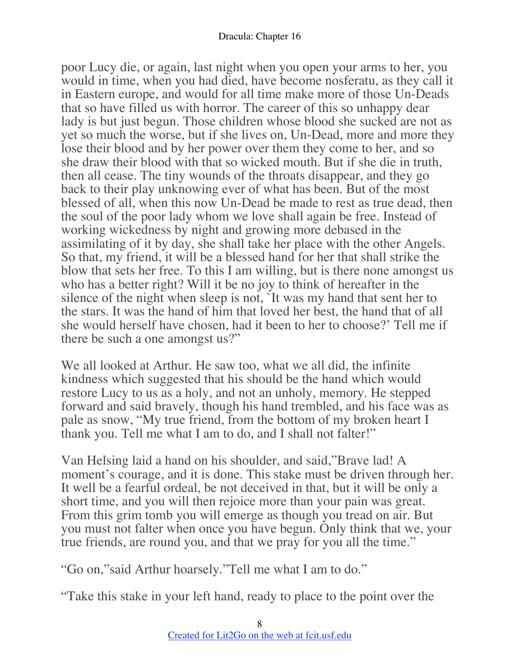poor Lucy die, or again, last night when you open your arms to her, you would in time, when you had died, have become nosferatu, as they call it in Eastern europe, and would for all time make more of those Un-Deads that so have filled us with horror. The career of this so unhappy dear lady is but just begun. Those children whose blood she sucked are not as yet so much the worse, but if she lives on, Un-Dead, more and more they lose their blood and by her power over them they come to her, and so she draw their blood with that so wicked mouth. But if she die in truth, then all cease. The tiny wounds of the throats disappear, and they go back to their play unknowing ever of what has been. But of the most blessed of all, when this now Un-Dead be made to rest as true dead, then the soul of the poor lady whom we love shall again be free. Instead of working wickedness by night and growing more debased in the assimilating of it by day, she shall take her place with the other Angels. So that, my friend, it will be a blessed hand for her that shall strike the blow that sets her free. To this I am willing, but is there none amongst us who has a better right? Will it be no joy to think of hereafter in the silence of the night when sleep is not, `It was my hand that sent her to the stars. It was the hand of him that loved her best, the hand that of all she would herself have chosen, had it been to her to choose?' Tell me if there be such a one amongst us?"

We all looked at Arthur. He saw too, what we all did, the infinite kindness which suggested that his should be the hand which would restore Lucy to us as a holy, and not an unholy, memory. He stepped forward and said bravely, though his hand trembled, and his face was as pale as snow, "My true friend, from the bottom of my broken heart I thank you. Tell me what I am to do, and I shall not falter!"

Van Helsing laid a hand on his shoulder, and said,"Brave lad! A moment's courage, and it is done. This stake must be driven through her. It well be a fearful ordeal, be not deceived in that, but it will be only a short time, and you will then rejoice more than your pain was great. From this grim tomb you will emerge as though you tread on air. But you must not falter when once you have begun. Only think that we, your true friends, are round you, and that we pray for you all the time."

"Go on,"said Arthur hoarsely."Tell me what I am to do."

"Take this stake in your left hand, ready to place to the point over the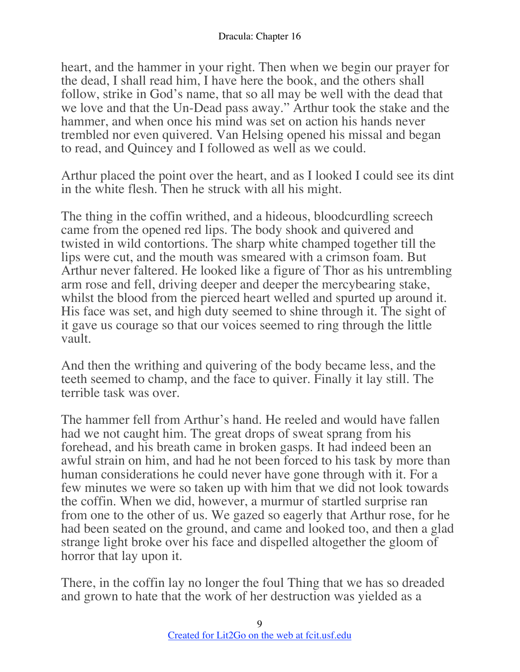heart, and the hammer in your right. Then when we begin our prayer for the dead, I shall read him, I have here the book, and the others shall follow, strike in God's name, that so all may be well with the dead that we love and that the Un-Dead pass away." Arthur took the stake and the hammer, and when once his mind was set on action his hands never trembled nor even quivered. Van Helsing opened his missal and began to read, and Quincey and I followed as well as we could.

Arthur placed the point over the heart, and as I looked I could see its dint in the white flesh. Then he struck with all his might.

The thing in the coffin writhed, and a hideous, bloodcurdling screech came from the opened red lips. The body shook and quivered and twisted in wild contortions. The sharp white champed together till the lips were cut, and the mouth was smeared with a crimson foam. But Arthur never faltered. He looked like a figure of Thor as his untrembling arm rose and fell, driving deeper and deeper the mercybearing stake, whilst the blood from the pierced heart welled and spurted up around it. His face was set, and high duty seemed to shine through it. The sight of it gave us courage so that our voices seemed to ring through the little vault.

And then the writhing and quivering of the body became less, and the teeth seemed to champ, and the face to quiver. Finally it lay still. The terrible task was over.

The hammer fell from Arthur's hand. He reeled and would have fallen had we not caught him. The great drops of sweat sprang from his forehead, and his breath came in broken gasps. It had indeed been an awful strain on him, and had he not been forced to his task by more than human considerations he could never have gone through with it. For a few minutes we were so taken up with him that we did not look towards the coffin. When we did, however, a murmur of startled surprise ran from one to the other of us. We gazed so eagerly that Arthur rose, for he had been seated on the ground, and came and looked too, and then a glad strange light broke over his face and dispelled altogether the gloom of horror that lay upon it.

There, in the coffin lay no longer the foul Thing that we has so dreaded and grown to hate that the work of her destruction was yielded as a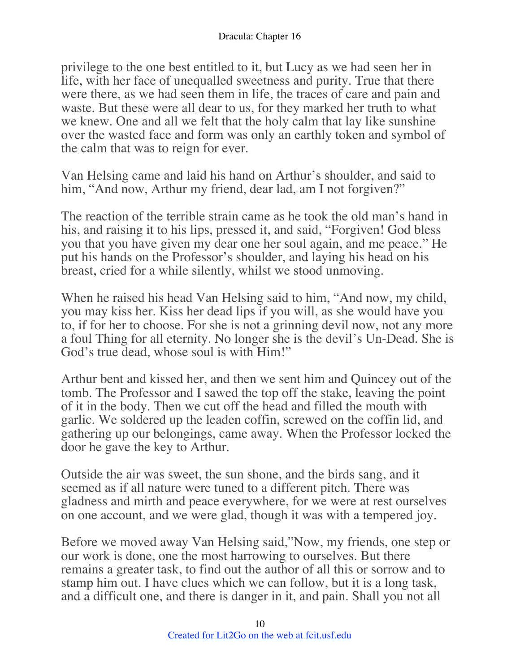privilege to the one best entitled to it, but Lucy as we had seen her in life, with her face of unequalled sweetness and purity. True that there were there, as we had seen them in life, the traces of care and pain and waste. But these were all dear to us, for they marked her truth to what we knew. One and all we felt that the holy calm that lay like sunshine over the wasted face and form was only an earthly token and symbol of the calm that was to reign for ever.

Van Helsing came and laid his hand on Arthur's shoulder, and said to him, "And now, Arthur my friend, dear lad, am I not forgiven?"

The reaction of the terrible strain came as he took the old man's hand in his, and raising it to his lips, pressed it, and said, "Forgiven! God bless you that you have given my dear one her soul again, and me peace." He put his hands on the Professor's shoulder, and laying his head on his breast, cried for a while silently, whilst we stood unmoving.

When he raised his head Van Helsing said to him, "And now, my child, you may kiss her. Kiss her dead lips if you will, as she would have you to, if for her to choose. For she is not a grinning devil now, not any more a foul Thing for all eternity. No longer she is the devil's Un-Dead. She is God's true dead, whose soul is with Him!"

Arthur bent and kissed her, and then we sent him and Quincey out of the tomb. The Professor and I sawed the top off the stake, leaving the point of it in the body. Then we cut off the head and filled the mouth with garlic. We soldered up the leaden coffin, screwed on the coffin lid, and gathering up our belongings, came away. When the Professor locked the door he gave the key to Arthur.

Outside the air was sweet, the sun shone, and the birds sang, and it seemed as if all nature were tuned to a different pitch. There was gladness and mirth and peace everywhere, for we were at rest ourselves on one account, and we were glad, though it was with a tempered joy.

Before we moved away Van Helsing said,"Now, my friends, one step or our work is done, one the most harrowing to ourselves. But there remains a greater task, to find out the author of all this or sorrow and to stamp him out. I have clues which we can follow, but it is a long task, and a difficult one, and there is danger in it, and pain. Shall you not all